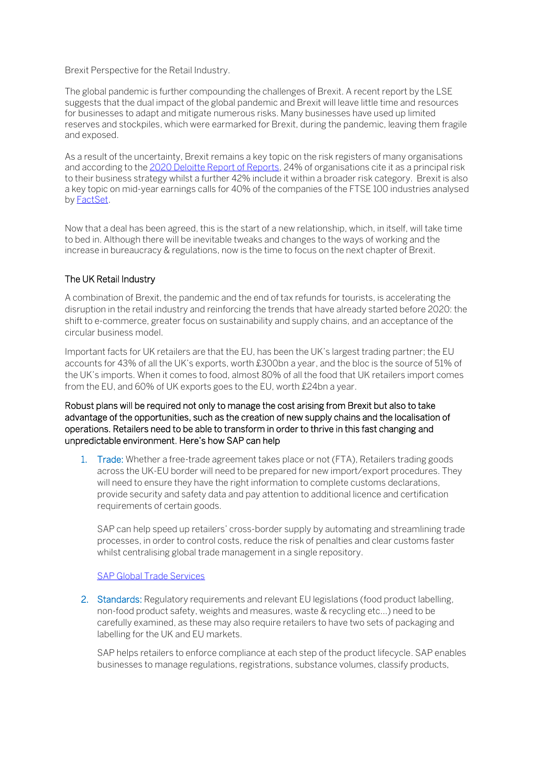Brexit Perspective for the Retail Industry.

The global pandemic is further compounding the challenges of Brexit. A recent report by the LSE suggests that the dual impact of the global pandemic and Brexit will leave little time and resources for businesses to adapt and mitigate numerous risks. Many businesses have used up limited reserves and stockpiles, which were earmarked for Brexit, during the pandemic, leaving them fragile and exposed.

As a result of the uncertainty, Brexit remains a key topic on the risk registers of many organisations and according to th[e 2020 Deloitte Report of Reports,](https://www2.deloitte.com/uk/en/pages/audit/articles/annual-report-insights-2020.html) 24% of organisations cite it as a principal risk to their business strategy whilst a further 42% include it within a broader risk category. Brexit is also a key topic on mid-year earnings calls for 40% of the companies of the FTSE 100 industries analysed by **FactSet**.

Now that a deal has been agreed, this is the start of a new relationship, which, in itself, will take time to bed in. Although there will be inevitable tweaks and changes to the ways of working and the increase in bureaucracy & regulations, now is the time to focus on the next chapter of Brexit.

# The UK Retail Industry

A combination of Brexit, the pandemic and the end of tax refunds for tourists, is accelerating the disruption in the retail industry and reinforcing the trends that have already started before 2020: the shift to e-commerce, greater focus on sustainability and supply chains, and an acceptance of the circular business model.

Important facts for UK retailers are that the EU, has been the UK's largest trading partner; the EU accounts for 43% of all the UK's exports, worth £300bn a year, and the bloc is the source of 51% of the UK's imports. When it comes to food, almost 80% of all the food that UK retailers import comes from the EU, and 60% of UK exports goes to the EU, worth £24bn a year.

Robust plans will be required not only to manage the cost arising from Brexit but also to take advantage of the opportunities, such as the creation of new supply chains and the localisation of operations. Retailers need to be able to transform in order to thrive in this fast changing and unpredictable environment. Here's how SAP can help

1. Trade: Whether a free-trade agreement takes place or not (FTA), Retailers trading goods across the UK-EU border will need to be prepared for new import/export procedures. They will need to ensure they have the right information to complete customs declarations, provide security and safety data and pay attention to additional licence and certification requirements of certain goods.

SAP can help speed up retailers' cross-border supply by automating and streamlining trade processes, in order to control costs, reduce the risk of penalties and clear customs faster whilst centralising global trade management in a single repository.

# [SAP Global Trade Services](https://www.sap.com/products/global-trade-management.html?btp=dc964bdd-611c-46aa-a9ec-96261113929f)

2. Standards: Regulatory requirements and relevant EU legislations (food product labelling, non-food product safety, weights and measures, waste & recycling etc…) need to be carefully examined, as these may also require retailers to have two sets of packaging and labelling for the UK and EU markets.

SAP helps retailers to enforce compliance at each step of the product lifecycle. SAP enables businesses to manage regulations, registrations, substance volumes, classify products,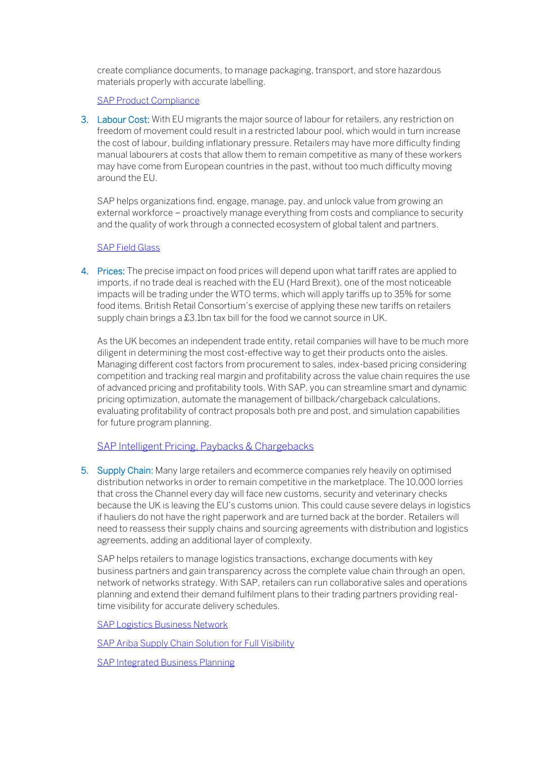create compliance documents, to manage packaging, transport, and store hazardous materials properly with accurate labelling.

#### [SAP Product Compliance](https://www.sap.com/products/product-compliance.html?btp=dc964bdd-611c-46aa-a9ec-96261113929f)

3. Labour Cost: With EU migrants the major source of labour for retailers, any restriction on freedom of movement could result in a restricted labour pool, which would in turn increase the cost of labour, building inflationary pressure. Retailers may have more difficulty finding manual labourers at costs that allow them to remain competitive as many of these workers may have come from European countries in the past, without too much difficulty moving around the EU.

SAP helps organizations find, engage, manage, pay, and unlock value from growing an external workforce – proactively manage everything from costs and compliance to security and the quality of work through a connected ecosystem of global talent and partners.

## [SAP Field Glass](https://www.fieldglass.com/)

4. Prices: The precise impact on food prices will depend upon what tariff rates are applied to imports, if no trade deal is reached with the EU (Hard Brexit), one of the most noticeable impacts will be trading under the WTO terms, which will apply tariffs up to 35% for some food items. British Retail Consortium's exercise of applying these new tariffs on retailers supply chain brings a £3.1bn tax bill for the food we cannot source in UK.

As the UK becomes an independent trade entity, retail companies will have to be much more diligent in determining the most cost-effective way to get their products onto the aisles. Managing different cost factors from procurement to sales, index-based pricing considering competition and tracking real margin and profitability across the value chain requires the use of advanced pricing and profitability tools. With SAP, you can streamline smart and dynamic pricing optimization, automate the management of billback/chargeback calculations, evaluating profitability of contract proposals both pre and post, and simulation capabilities for future program planning.

## [SAP Intelligent Pricing, Paybacks & Chargebacks](https://www.sap.com/cmp/dg/crm-xm16-str-soslxcamp/index.html)

5. Supply Chain: Many large retailers and ecommerce companies rely heavily on optimised distribution networks in order to remain competitive in the marketplace. The 10,000 lorries that cross the Channel every day will face new customs, security and veterinary checks because the UK is leaving the EU's customs union. This could cause severe delays in logistics if hauliers do not have the right paperwork and are turned back at the border. Retailers will need to reassess their supply chains and sourcing agreements with distribution and logistics agreements, adding an additional layer of complexity.

SAP helps retailers to manage logistics transactions, exchange documents with key business partners and gain transparency across the complete value chain through an open, network of networks strategy. With SAP, retailers can run collaborative sales and operations planning and extend their demand fulfilment plans to their trading partners providing realtime visibility for accurate delivery schedules.

[SAP Logistics Business Network](https://www.sap.com/uk/products/logistics-business-network.html)

[SAP Ariba Supply Chain Solution for Full Visibility](https://www.ariba.com/solutions/solutions-overview/supply-chain/supply-chain-collaboration)

[SAP Integrated Business Planning](https://www.sap.com/uk/products/supply-chain-management/supply-chain-planning.html)